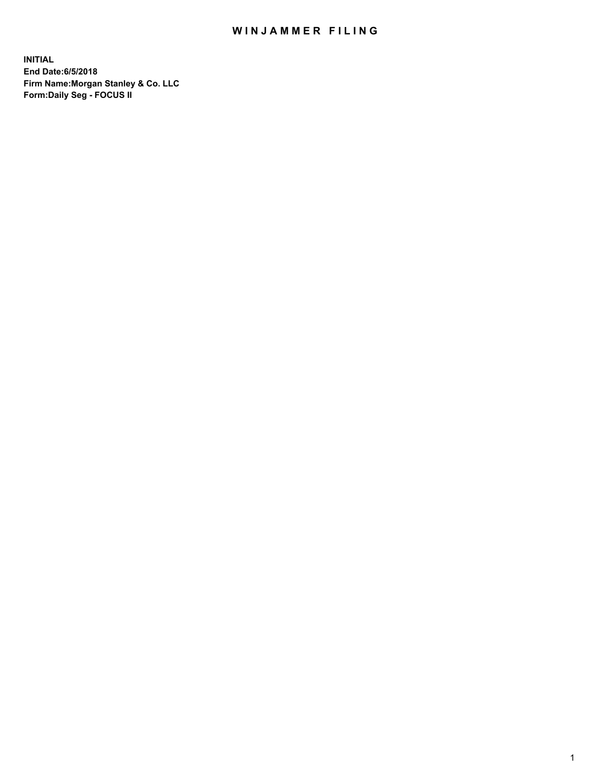## WIN JAMMER FILING

**INITIAL End Date:6/5/2018 Firm Name:Morgan Stanley & Co. LLC Form:Daily Seg - FOCUS II**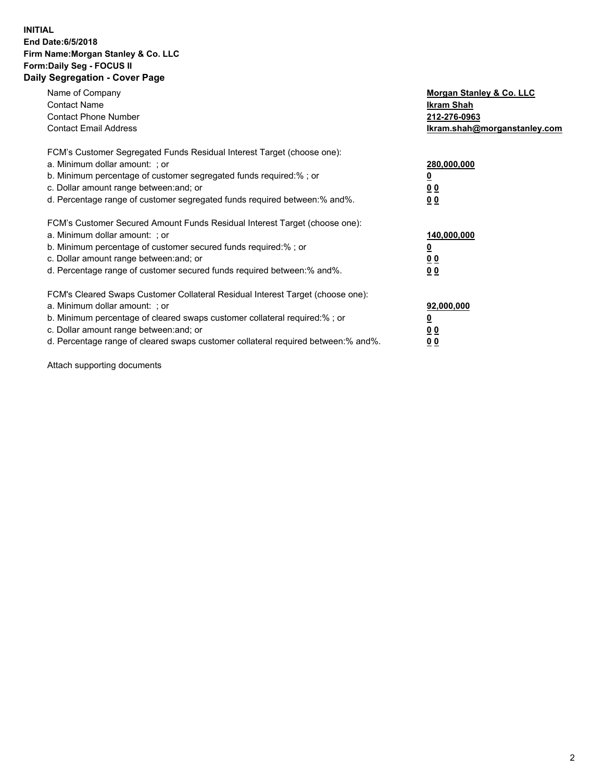### **INITIAL End Date:6/5/2018 Firm Name:Morgan Stanley & Co. LLC Form:Daily Seg - FOCUS II Daily Segregation - Cover Page**

| Name of Company                                                                   | Morgan Stanley & Co. LLC     |
|-----------------------------------------------------------------------------------|------------------------------|
| <b>Contact Name</b>                                                               | Ikram Shah                   |
| <b>Contact Phone Number</b>                                                       | 212-276-0963                 |
| <b>Contact Email Address</b>                                                      | Ikram.shah@morganstanley.com |
| FCM's Customer Segregated Funds Residual Interest Target (choose one):            |                              |
| a. Minimum dollar amount: : or                                                    | 280,000,000                  |
| b. Minimum percentage of customer segregated funds required:%; or                 |                              |
| c. Dollar amount range between: and; or                                           | 0 <sub>0</sub>               |
| d. Percentage range of customer segregated funds required between: % and %.       | 00                           |
| FCM's Customer Secured Amount Funds Residual Interest Target (choose one):        |                              |
| a. Minimum dollar amount: ; or                                                    | 140,000,000                  |
| b. Minimum percentage of customer secured funds required:% ; or                   |                              |
| c. Dollar amount range between: and; or                                           | 0 <sub>0</sub>               |
| d. Percentage range of customer secured funds required between: % and %.          | <u>00</u>                    |
| FCM's Cleared Swaps Customer Collateral Residual Interest Target (choose one):    |                              |
| a. Minimum dollar amount: ; or                                                    | 92,000,000                   |
| b. Minimum percentage of cleared swaps customer collateral required:%; or         | <u>0</u>                     |
| c. Dollar amount range between: and; or                                           | <u>0 0</u>                   |
| d. Percentage range of cleared swaps customer collateral required between:% and%. | <u>00</u>                    |

Attach supporting documents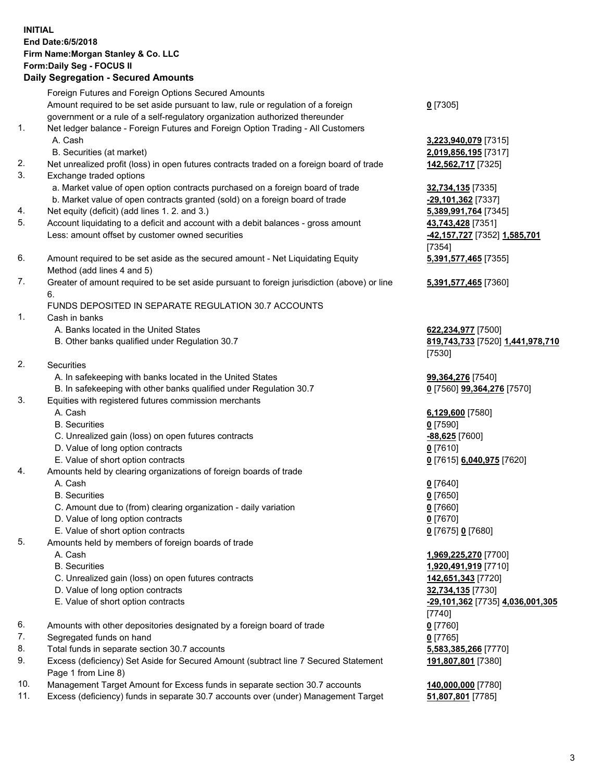# **INITIAL End Date:6/5/2018 Firm Name:Morgan Stanley & Co. LLC Form:Daily Seg - FOCUS II**

## **Daily Segregation - Secured Amounts**

|                | Foreign Futures and Foreign Options Secured Amounts                                                        |                                     |
|----------------|------------------------------------------------------------------------------------------------------------|-------------------------------------|
|                | Amount required to be set aside pursuant to law, rule or regulation of a foreign                           | $0$ [7305]                          |
|                | government or a rule of a self-regulatory organization authorized thereunder                               |                                     |
| $\mathbf{1}$ . | Net ledger balance - Foreign Futures and Foreign Option Trading - All Customers                            |                                     |
|                | A. Cash                                                                                                    | 3,223,940,079 [7315]                |
|                | B. Securities (at market)                                                                                  | 2,019,856,195 [7317]                |
| 2.             | Net unrealized profit (loss) in open futures contracts traded on a foreign board of trade                  | 142,562,717 [7325]                  |
| 3.             | Exchange traded options                                                                                    |                                     |
|                | a. Market value of open option contracts purchased on a foreign board of trade                             | 32,734,135 [7335]                   |
|                | b. Market value of open contracts granted (sold) on a foreign board of trade                               | -29,101,362 [7337]                  |
| 4.             | Net equity (deficit) (add lines 1.2. and 3.)                                                               | 5,389,991,764 [7345]                |
| 5.             | Account liquidating to a deficit and account with a debit balances - gross amount                          | 43,743,428 [7351]                   |
|                | Less: amount offset by customer owned securities                                                           | <u>-42,157,727</u> [7352] 1,585,701 |
|                |                                                                                                            | [7354]                              |
| 6.             | Amount required to be set aside as the secured amount - Net Liquidating Equity                             | 5,391,577,465 [7355]                |
|                | Method (add lines 4 and 5)                                                                                 |                                     |
| 7.             | Greater of amount required to be set aside pursuant to foreign jurisdiction (above) or line                | 5,391,577,465 [7360]                |
|                | 6.                                                                                                         |                                     |
|                | FUNDS DEPOSITED IN SEPARATE REGULATION 30.7 ACCOUNTS                                                       |                                     |
| 1.             | Cash in banks                                                                                              |                                     |
|                | A. Banks located in the United States                                                                      | 622,234,977 [7500]                  |
|                | B. Other banks qualified under Regulation 30.7                                                             | 819,743,733 [7520] 1,441,978,710    |
|                |                                                                                                            | [7530]                              |
| 2.             | Securities                                                                                                 |                                     |
|                | A. In safekeeping with banks located in the United States                                                  | 99,364,276 [7540]                   |
|                | B. In safekeeping with other banks qualified under Regulation 30.7                                         | 0 [7560] 99,364,276 [7570]          |
| 3.             | Equities with registered futures commission merchants                                                      |                                     |
|                | A. Cash                                                                                                    | 6,129,600 [7580]                    |
|                | <b>B.</b> Securities                                                                                       | $0$ [7590]                          |
|                | C. Unrealized gain (loss) on open futures contracts                                                        | -88,625 [7600]                      |
|                | D. Value of long option contracts                                                                          | $0$ [7610]                          |
|                | E. Value of short option contracts                                                                         | 0 [7615] 6,040,975 [7620]           |
| 4.             | Amounts held by clearing organizations of foreign boards of trade                                          |                                     |
|                | A. Cash                                                                                                    | $0$ [7640]                          |
|                | <b>B.</b> Securities                                                                                       | $0$ [7650]                          |
|                | C. Amount due to (from) clearing organization - daily variation                                            | $0$ [7660]                          |
|                | D. Value of long option contracts                                                                          | $0$ [7670]                          |
|                | E. Value of short option contracts                                                                         | 0 [7675] 0 [7680]                   |
| 5.             | Amounts held by members of foreign boards of trade                                                         |                                     |
|                | A. Cash                                                                                                    | 1,969,225,270 [7700]                |
|                | <b>B.</b> Securities                                                                                       | 1,920,491,919 [7710]                |
|                | C. Unrealized gain (loss) on open futures contracts                                                        | 142,651,343 [7720]                  |
|                | D. Value of long option contracts                                                                          | 32,734,135 [7730]                   |
|                | E. Value of short option contracts                                                                         | -29,101,362 [7735] 4,036,001,305    |
|                |                                                                                                            | [7740]                              |
| 6.             | Amounts with other depositories designated by a foreign board of trade                                     | $0$ [7760]                          |
| 7.             | Segregated funds on hand                                                                                   | $0$ [7765]                          |
| 8.             | Total funds in separate section 30.7 accounts                                                              | 5,583,385,266 [7770]                |
| 9.             | Excess (deficiency) Set Aside for Secured Amount (subtract line 7 Secured Statement<br>Page 1 from Line 8) | 191,807,801 [7380]                  |
| 10.            | Management Target Amount for Excess funds in separate section 30.7 accounts                                | 140,000,000 [7780]                  |
| 11.            | Excess (deficiency) funds in separate 30.7 accounts over (under) Management Target                         | 51,807,801 [7785]                   |
|                |                                                                                                            |                                     |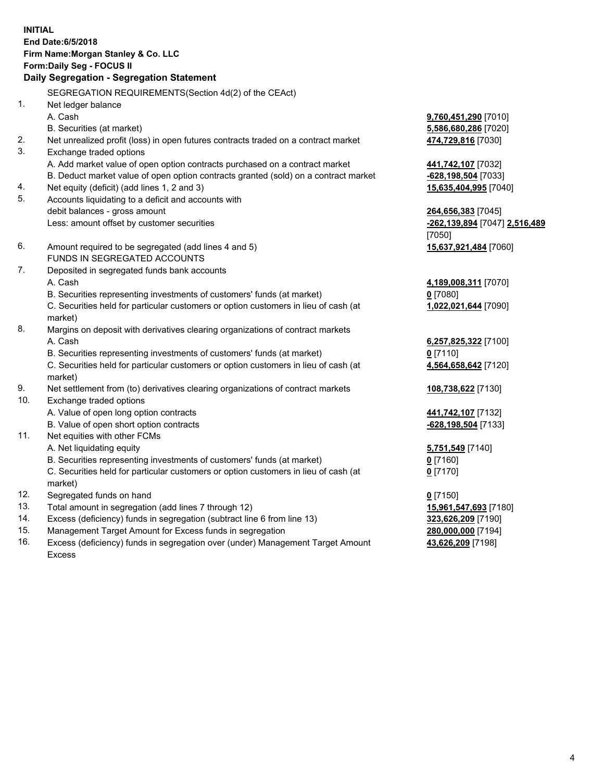# **INITIAL End Date:6/5/2018 Firm Name:Morgan Stanley & Co. LLC Form:Daily Seg - FOCUS II**

# **Daily Segregation - Segregation Statement**

SEGREGATION REQUIREMENTS(Section 4d(2) of the CEAct) 1. Net ledger balance A. Cash **9,760,451,290** [7010] B. Securities (at market) **5,586,680,286** [7020] 2. Net unrealized profit (loss) in open futures contracts traded on a contract market **474,729,816** [7030] 3. Exchange traded options A. Add market value of open option contracts purchased on a contract market **441,742,107** [7032] B. Deduct market value of open option contracts granted (sold) on a contract market **-628,198,504** [7033] 4. Net equity (deficit) (add lines 1, 2 and 3) **15,635,404,995** [7040] 5. Accounts liquidating to a deficit and accounts with debit balances - gross amount **264,656,383** [7045] Less: amount offset by customer securities **-262,139,894** [7047] **2,516,489** [7050] 6. Amount required to be segregated (add lines 4 and 5) **15,637,921,484** [7060] FUNDS IN SEGREGATED ACCOUNTS 7. Deposited in segregated funds bank accounts A. Cash **4,189,008,311** [7070] B. Securities representing investments of customers' funds (at market) **0** [7080] C. Securities held for particular customers or option customers in lieu of cash (at market) 8. Margins on deposit with derivatives clearing organizations of contract markets A. Cash **6,257,825,322** [7100] B. Securities representing investments of customers' funds (at market) **0** [7110] C. Securities held for particular customers or option customers in lieu of cash (at market) 9. Net settlement from (to) derivatives clearing organizations of contract markets **108,738,622** [7130] 10. Exchange traded options A. Value of open long option contracts **441,742,107** [7132] B. Value of open short option contracts **-628,198,504** [7133] 11. Net equities with other FCMs A. Net liquidating equity **5,751,549** [7140] B. Securities representing investments of customers' funds (at market) **0** [7160] C. Securities held for particular customers or option customers in lieu of cash (at market) **0** [7170] 12. Segregated funds on hand **0** [7150] 13. Total amount in segregation (add lines 7 through 12) **15,961,547,693** [7180] 14. Excess (deficiency) funds in segregation (subtract line 6 from line 13) **323,626,209** [7190] 15. Management Target Amount for Excess funds in segregation **280,000,000** [7194]

16. Excess (deficiency) funds in segregation over (under) Management Target Amount Excess

**1,022,021,644** [7090]

**4,564,658,642** [7120]

**43,626,209** [7198]